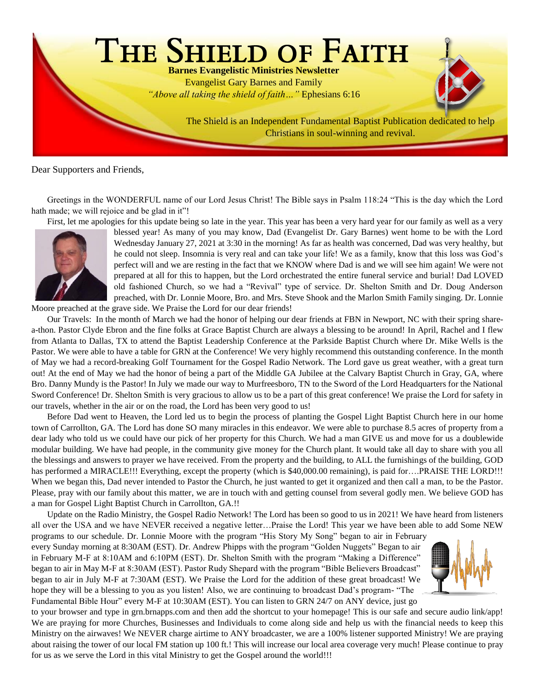

Dear Supporters and Friends,

Greetings in the WONDERFUL name of our Lord Jesus Christ! The Bible says in Psalm 118:24 "This is the day which the Lord hath made; we will rejoice and be glad in it"!

First, let me apologies for this update being so late in the year. This year has been a very hard year for our family as well as a very



blessed year! As many of you may know, Dad (Evangelist Dr. Gary Barnes) went home to be with the Lord Wednesday January 27, 2021 at 3:30 in the morning! As far as health was concerned, Dad was very healthy, but he could not sleep. Insomnia is very real and can take your life! We as a family, know that this loss was God's perfect will and we are resting in the fact that we KNOW where Dad is and we will see him again! We were not prepared at all for this to happen, but the Lord orchestrated the entire funeral service and burial! Dad LOVED old fashioned Church, so we had a "Revival" type of service. Dr. Shelton Smith and Dr. Doug Anderson preached, with Dr. Lonnie Moore, Bro. and Mrs. Steve Shook and the Marlon Smith Family singing. Dr. Lonnie

Moore preached at the grave side. We Praise the Lord for our dear friends!

Our Travels: In the month of March we had the honor of helping our dear friends at FBN in Newport, NC with their spring sharea-thon. Pastor Clyde Ebron and the fine folks at Grace Baptist Church are always a blessing to be around! In April, Rachel and I flew from Atlanta to Dallas, TX to attend the Baptist Leadership Conference at the Parkside Baptist Church where Dr. Mike Wells is the Pastor. We were able to have a table for GRN at the Conference! We very highly recommend this outstanding conference. In the month of May we had a record-breaking Golf Tournament for the Gospel Radio Network. The Lord gave us great weather, with a great turn out! At the end of May we had the honor of being a part of the Middle GA Jubilee at the Calvary Baptist Church in Gray, GA, where Bro. Danny Mundy is the Pastor! In July we made our way to Murfreesboro, TN to the Sword of the Lord Headquarters for the National Sword Conference! Dr. Shelton Smith is very gracious to allow us to be a part of this great conference! We praise the Lord for safety in our travels, whether in the air or on the road, the Lord has been very good to us!

Before Dad went to Heaven, the Lord led us to begin the process of planting the Gospel Light Baptist Church here in our home town of Carrollton, GA. The Lord has done SO many miracles in this endeavor. We were able to purchase 8.5 acres of property from a dear lady who told us we could have our pick of her property for this Church. We had a man GIVE us and move for us a doublewide modular building. We have had people, in the community give money for the Church plant. It would take all day to share with you all the blessings and answers to prayer we have received. From the property and the building, to ALL the furnishings of the building, GOD has performed a MIRACLE!!! Everything, except the property (which is \$40,000.00 remaining), is paid for...PRAISE THE LORD!!! When we began this, Dad never intended to Pastor the Church, he just wanted to get it organized and then call a man, to be the Pastor. Please, pray with our family about this matter, we are in touch with and getting counsel from several godly men. We believe GOD has a man for Gospel Light Baptist Church in Carrollton, GA.!!

Update on the Radio Ministry, the Gospel Radio Network! The Lord has been so good to us in 2021! We have heard from listeners all over the USA and we have NEVER received a negative letter…Praise the Lord! This year we have been able to add Some NEW

programs to our schedule. Dr. Lonnie Moore with the program "His Story My Song" began to air in February every Sunday morning at 8:30AM (EST). Dr. Andrew Phipps with the program "Golden Nuggets" Began to air in February M-F at 8:10AM and 6:10PM (EST). Dr. Shelton Smith with the program "Making a Difference" began to air in May M-F at 8:30AM (EST). Pastor Rudy Shepard with the program "Bible Believers Broadcast" began to air in July M-F at 7:30AM (EST). We Praise the Lord for the addition of these great broadcast! We hope they will be a blessing to you as you listen! Also, we are continuing to broadcast Dad's program- "The Fundamental Bible Hour" every M-F at 10:30AM (EST). You can listen to GRN 24/7 on ANY device, just go



to your browser and type in grn.brnapps.com and then add the shortcut to your homepage! This is our safe and secure audio link/app! We are praying for more Churches, Businesses and Individuals to come along side and help us with the financial needs to keep this Ministry on the airwaves! We NEVER charge airtime to ANY broadcaster, we are a 100% listener supported Ministry! We are praying about raising the tower of our local FM station up 100 ft.! This will increase our local area coverage very much! Please continue to pray for us as we serve the Lord in this vital Ministry to get the Gospel around the world!!!